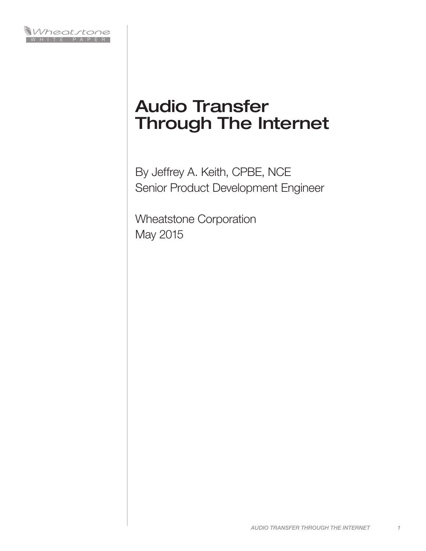

# Audio Transfer Through The Internet

By Jeffrey A. Keith, CPBE, NCE Senior Product Development Engineer

Wheatstone Corporation May 2015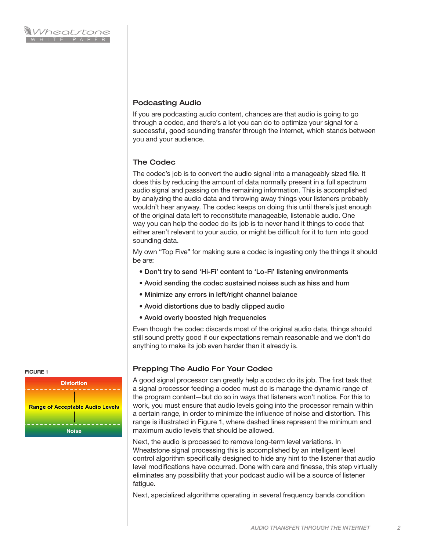## Podcasting Audio

If you are podcasting audio content, chances are that audio is going to go through a codec, and there's a lot you can do to optimize your signal for a successful, good sounding transfer through the internet, which stands between you and your audience.

## The Codec

The codec's job is to convert the audio signal into a manageably sized file. It does this by reducing the amount of data normally present in a full spectrum audio signal and passing on the remaining information. This is accomplished by analyzing the audio data and throwing away things your listeners probably wouldn't hear anyway. The codec keeps on doing this until there's just enough of the original data left to reconstitute manageable, listenable audio. One way you can help the codec do its job is to never hand it things to code that either aren't relevant to your audio, or might be difficult for it to turn into good sounding data.

My own "Top Five" for making sure a codec is ingesting only the things it should be are:

- Don't try to send 'Hi-Fi' content to 'Lo-Fi' listening environments
- Avoid sending the codec sustained noises such as hiss and hum
- Minimize any errors in left/right channel balance
- Avoid distortions due to badly clipped audio
- Avoid overly boosted high frequencies

Even though the codec discards most of the original audio data, things should still sound pretty good if our expectations remain reasonable and we don't do anything to make its job even harder than it already is.

## Prepping The Audio For Your Codec

A good signal processor can greatly help a codec do its job. The first task that a signal processor feeding a codec must do is manage the dynamic range of the program content—but do so in ways that listeners won't notice. For this to work, you must ensure that audio levels going into the processor remain within a certain range, in order to minimize the influence of noise and distortion. This range is illustrated in Figure 1, where dashed lines represent the minimum and maximum audio levels that should be allowed.

Next, the audio is processed to remove long-term level variations. In Wheatstone signal processing this is accomplished by an intelligent level control algorithm specifically designed to hide any hint to the listener that audio level modifications have occurred. Done with care and finesse, this step virtually eliminates any possibility that your podcast audio will be a source of listener fatigue.

Next, specialized algorithms operating in several frequency bands condition

FIGURE 1

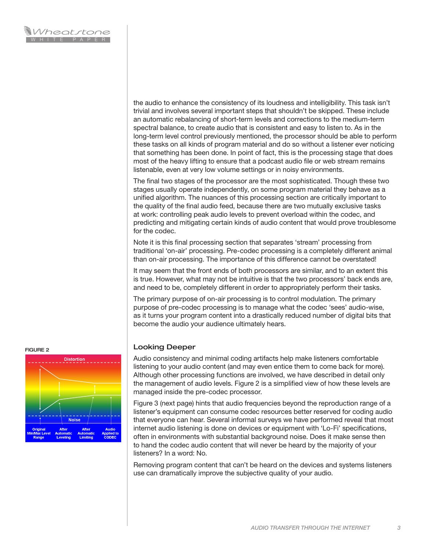the audio to enhance the consistency of its loudness and intelligibility. This task isn't trivial and involves several important steps that shouldn't be skipped. These include an automatic rebalancing of short-term levels and corrections to the medium-term spectral balance, to create audio that is consistent and easy to listen to. As in the long-term level control previously mentioned, the processor should be able to perform these tasks on all kinds of program material and do so without a listener ever noticing that something has been done. In point of fact, this is the processing stage that does most of the heavy lifting to ensure that a podcast audio file or web stream remains listenable, even at very low volume settings or in noisy environments.

The final two stages of the processor are the most sophisticated. Though these two stages usually operate independently, on some program material they behave as a unified algorithm. The nuances of this processing section are critically important to the quality of the final audio feed, because there are two mutually exclusive tasks at work: controlling peak audio levels to prevent overload within the codec, and predicting and mitigating certain kinds of audio content that would prove troublesome for the codec.

Note it is this final processing section that separates 'stream' processing from traditional 'on-air' processing. Pre-codec processing is a completely different animal than on-air processing. The importance of this difference cannot be overstated!

It may seem that the front ends of both processors are similar, and to an extent this is true. However, what may not be intuitive is that the two processors' back ends are, and need to be, completely different in order to appropriately perform their tasks.

The primary purpose of on-air processing is to control modulation. The primary purpose of pre-codec processing is to manage what the codec 'sees' audio-wise, as it turns your program content into a drastically reduced number of digital bits that become the audio your audience ultimately hears.

### Looking Deeper

Audio consistency and minimal coding artifacts help make listeners comfortable listening to your audio content (and may even entice them to come back for more). Although other processing functions are involved, we have described in detail only the management of audio levels. Figure 2 is a simplified view of how these levels are managed inside the pre-codec processor.

Figure 3 (next page) hints that audio frequencies beyond the reproduction range of a listener's equipment can consume codec resources better reserved for coding audio that everyone can hear. Several informal surveys we have performed reveal that most internet audio listening is done on devices or equipment with 'Lo-Fi' specifications, often in environments with substantial background noise. Does it make sense then to hand the codec audio content that will never be heard by the majority of your listeners? In a word: No.

Removing program content that can't be heard on the devices and systems listeners use can dramatically improve the subjective quality of your audio.